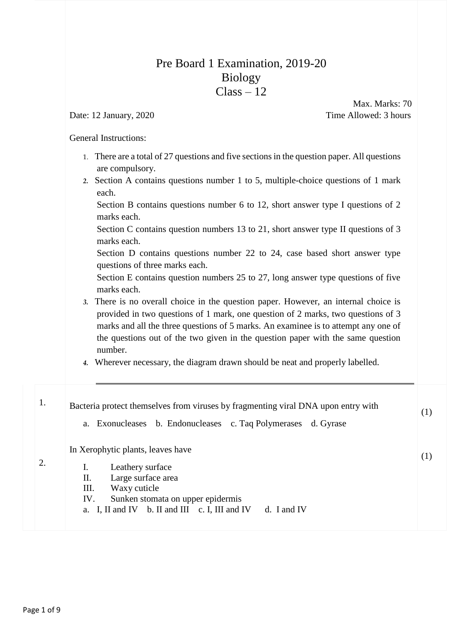## Pre Board 1 Examination, 2019-20 Biology  $Class - 12$

 Max. Marks: 70 Date: 12 January, 2020 Time Allowed: 3 hours

General Instructions:

- 1. There are a total of 27 questions and five sections in the question paper. All questions are compulsory.
- *2.* Section A contains questions number 1 to 5, multiple-choice questions of 1 mark each.

Section B contains questions number 6 to 12, short answer type I questions of 2 marks each.

Section C contains question numbers 13 to 21, short answer type II questions of 3 marks each.

Section D contains questions number 22 to 24, case based short answer type questions of three marks each.

Section E contains question numbers 25 to 27, long answer type questions of five marks each.

- *3.* There is no overall choice in the question paper. However, an internal choice is provided in two questions of 1 mark, one question of 2 marks, two questions of 3 marks and all the three questions of 5 marks. An examinee is to attempt any one of the questions out of the two given in the question paper with the same question number.
- *4.* Wherever necessary, the diagram drawn should be neat and properly labelled.

| (1) | Bacteria protect themselves from viruses by fragmenting viral DNA upon entry with |    |
|-----|-----------------------------------------------------------------------------------|----|
|     | a. Exonucleases b. Endonucleases c. Taq Polymerases d. Gyrase                     |    |
| (1) | In Xerophytic plants, leaves have                                                 |    |
|     | I.<br>Leathery surface                                                            |    |
|     | П.<br>Large surface area                                                          |    |
|     | Ш.<br>Waxy cuticle                                                                |    |
|     | Sunken stomata on upper epidermis<br>IV.                                          |    |
|     | a. I, II and IV b. II and III c. I, III and IV<br>d. I and IV                     |    |
|     |                                                                                   |    |
|     |                                                                                   | 2. |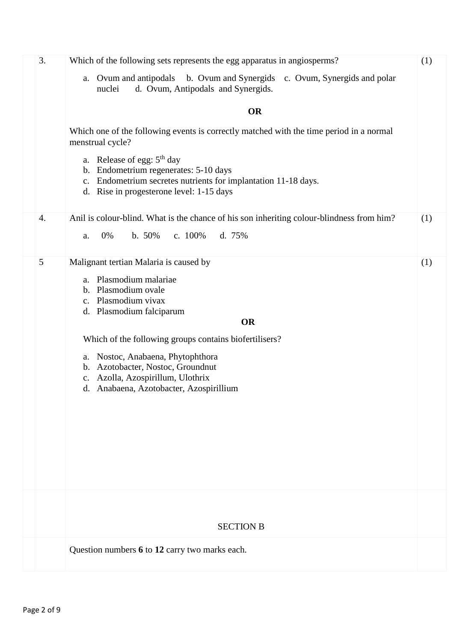| 3. | Which of the following sets represents the egg apparatus in angiosperms?                                                                               | (1) |  |  |  |  |
|----|--------------------------------------------------------------------------------------------------------------------------------------------------------|-----|--|--|--|--|
|    | a. Ovum and antipodals b. Ovum and Synergids<br>c. Ovum, Synergids and polar<br>d. Ovum, Antipodals and Synergids.<br>nuclei                           |     |  |  |  |  |
|    | <b>OR</b>                                                                                                                                              |     |  |  |  |  |
|    | Which one of the following events is correctly matched with the time period in a normal<br>menstrual cycle?                                            |     |  |  |  |  |
|    | a. Release of egg: $5th$ day<br>b. Endometrium regenerates: 5-10 days<br>c. Endometrium secretes nutrients for implantation 11-18 days.                |     |  |  |  |  |
|    | d. Rise in progesterone level: 1-15 days                                                                                                               |     |  |  |  |  |
| 4. | Anil is colour-blind. What is the chance of his son inheriting colour-blindness from him?<br>b. 50%<br>c. $100\%$<br>d. 75%<br>0%<br>a.                | (1) |  |  |  |  |
|    |                                                                                                                                                        |     |  |  |  |  |
| 5  | Malignant tertian Malaria is caused by<br>a. Plasmodium malariae<br>b. Plasmodium ovale<br>c. Plasmodium vivax<br>d. Plasmodium falciparum             | (1) |  |  |  |  |
|    | <b>OR</b>                                                                                                                                              |     |  |  |  |  |
|    | Which of the following groups contains biofertilisers?                                                                                                 |     |  |  |  |  |
|    | a. Nostoc, Anabaena, Phytophthora<br>b. Azotobacter, Nostoc, Groundnut<br>c. Azolla, Azospirillum, Ulothrix<br>d. Anabaena, Azotobacter, Azospirillium |     |  |  |  |  |
|    |                                                                                                                                                        |     |  |  |  |  |
|    |                                                                                                                                                        |     |  |  |  |  |
|    |                                                                                                                                                        |     |  |  |  |  |
|    |                                                                                                                                                        |     |  |  |  |  |
|    | <b>SECTION B</b>                                                                                                                                       |     |  |  |  |  |
|    | Question numbers 6 to 12 carry two marks each.                                                                                                         |     |  |  |  |  |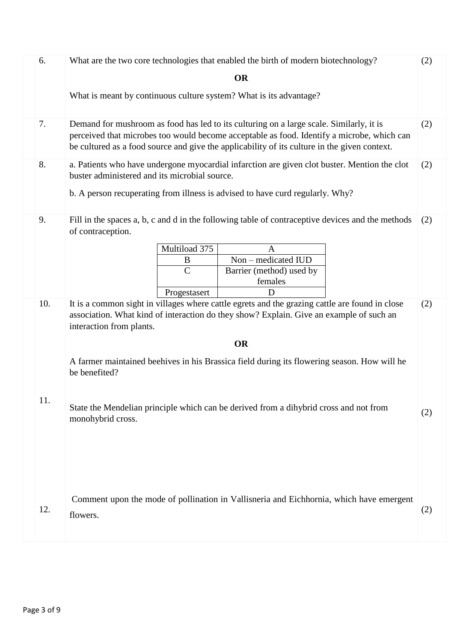| 6.  | What are the two core technologies that enabled the birth of modern biotechnology?<br>(2)                                                                                                                                                                                                    |     |  |  |  |  |  |
|-----|----------------------------------------------------------------------------------------------------------------------------------------------------------------------------------------------------------------------------------------------------------------------------------------------|-----|--|--|--|--|--|
|     | <b>OR</b>                                                                                                                                                                                                                                                                                    |     |  |  |  |  |  |
|     | What is meant by continuous culture system? What is its advantage?                                                                                                                                                                                                                           |     |  |  |  |  |  |
| 7.  | Demand for mushroom as food has led to its culturing on a large scale. Similarly, it is<br>(2)<br>perceived that microbes too would become acceptable as food. Identify a microbe, which can<br>be cultured as a food source and give the applicability of its culture in the given context. |     |  |  |  |  |  |
| 8.  | a. Patients who have undergone myocardial infarction are given clot buster. Mention the clot<br>buster administered and its microbial source.                                                                                                                                                | (2) |  |  |  |  |  |
|     | b. A person recuperating from illness is advised to have curd regularly. Why?                                                                                                                                                                                                                |     |  |  |  |  |  |
| 9.  | Fill in the spaces a, b, c and d in the following table of contraceptive devices and the methods<br>of contraception.                                                                                                                                                                        | (2) |  |  |  |  |  |
|     | Multiload 375<br>A                                                                                                                                                                                                                                                                           |     |  |  |  |  |  |
|     | Non - medicated IUD<br>B<br>$\mathcal{C}$<br>Barrier (method) used by                                                                                                                                                                                                                        |     |  |  |  |  |  |
|     | females                                                                                                                                                                                                                                                                                      |     |  |  |  |  |  |
|     | D<br>Progestasert                                                                                                                                                                                                                                                                            |     |  |  |  |  |  |
| 10. | It is a common sight in villages where cattle egrets and the grazing cattle are found in close<br>association. What kind of interaction do they show? Explain. Give an example of such an<br>interaction from plants.                                                                        | (2) |  |  |  |  |  |
|     | <b>OR</b>                                                                                                                                                                                                                                                                                    |     |  |  |  |  |  |
|     | A farmer maintained beehives in his Brassica field during its flowering season. How will he<br>be benefited?                                                                                                                                                                                 |     |  |  |  |  |  |
| 11. | State the Mendelian principle which can be derived from a dihybrid cross and not from<br>monohybrid cross.                                                                                                                                                                                   | (2) |  |  |  |  |  |
| 12. | Comment upon the mode of pollination in Vallisneria and Eichhornia, which have emergent<br>flowers.                                                                                                                                                                                          | (2) |  |  |  |  |  |
|     |                                                                                                                                                                                                                                                                                              |     |  |  |  |  |  |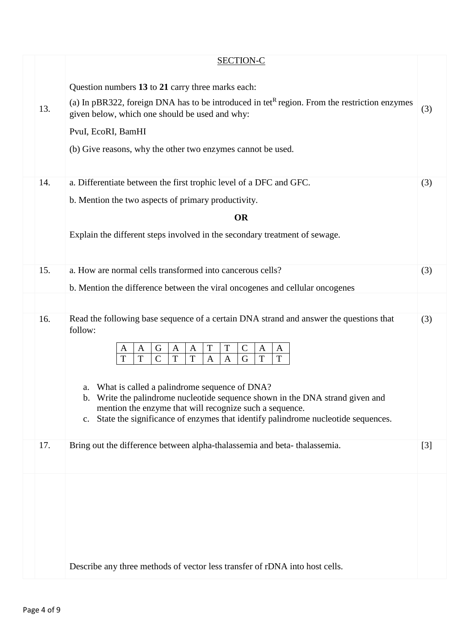|     | <b>SECTION-C</b>                                                                                                                                                                                                                                                                                                                                                                                                                                                                                                                                                                    |       |  |  |  |  |
|-----|-------------------------------------------------------------------------------------------------------------------------------------------------------------------------------------------------------------------------------------------------------------------------------------------------------------------------------------------------------------------------------------------------------------------------------------------------------------------------------------------------------------------------------------------------------------------------------------|-------|--|--|--|--|
| 13. | Question numbers 13 to 21 carry three marks each:<br>(a) In pBR322, foreign DNA has to be introduced in tet <sup>R</sup> region. From the restriction enzymes<br>given below, which one should be used and why:<br>PvuI, EcoRI, BamHI<br>(b) Give reasons, why the other two enzymes cannot be used.                                                                                                                                                                                                                                                                                | (3)   |  |  |  |  |
| 14. | a. Differentiate between the first trophic level of a DFC and GFC.<br>b. Mention the two aspects of primary productivity.<br><b>OR</b><br>Explain the different steps involved in the secondary treatment of sewage.                                                                                                                                                                                                                                                                                                                                                                | (3)   |  |  |  |  |
| 15. | a. How are normal cells transformed into cancerous cells?                                                                                                                                                                                                                                                                                                                                                                                                                                                                                                                           | (3)   |  |  |  |  |
|     | b. Mention the difference between the viral oncogenes and cellular oncogenes                                                                                                                                                                                                                                                                                                                                                                                                                                                                                                        |       |  |  |  |  |
| 16. | Read the following base sequence of a certain DNA strand and answer the questions that<br>follow:<br>T<br>$\mathbf T$<br>$\mathbf C$<br>G<br>A<br>A<br>A<br>A<br>A<br>A<br>T<br>$\mathbf T$<br>T<br>$\overline{C}$<br>T<br>$\mathbf T$<br>$\mathbf T$<br>G<br>$\mathbf{A}$<br>$\mathbf{A}$<br>a. What is called a palindrome sequence of DNA?<br>b. Write the palindrome nucleotide sequence shown in the DNA strand given and<br>mention the enzyme that will recognize such a sequence.<br>State the significance of enzymes that identify palindrome nucleotide sequences.<br>c. | (3)   |  |  |  |  |
| 17. | Bring out the difference between alpha-thalassemia and beta-thalassemia.                                                                                                                                                                                                                                                                                                                                                                                                                                                                                                            | $[3]$ |  |  |  |  |
|     | Describe any three methods of vector less transfer of rDNA into host cells.                                                                                                                                                                                                                                                                                                                                                                                                                                                                                                         |       |  |  |  |  |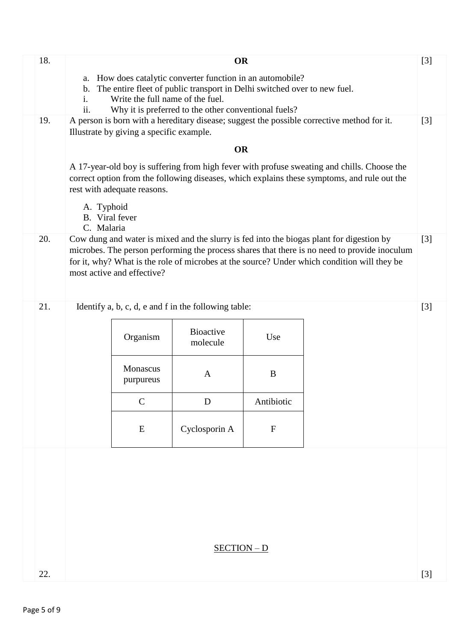| 18. |                                                                                                                                     |                                                                                                                                                                                                                           | <b>OR</b>                                            |             |                                                                                              | $[3]$             |  |
|-----|-------------------------------------------------------------------------------------------------------------------------------------|---------------------------------------------------------------------------------------------------------------------------------------------------------------------------------------------------------------------------|------------------------------------------------------|-------------|----------------------------------------------------------------------------------------------|-------------------|--|
|     | How does catalytic converter function in an automobile?<br>a.                                                                       |                                                                                                                                                                                                                           |                                                      |             |                                                                                              |                   |  |
|     | The entire fleet of public transport in Delhi switched over to new fuel.<br>$\mathbf b$ .<br>Write the full name of the fuel.<br>1. |                                                                                                                                                                                                                           |                                                      |             |                                                                                              |                   |  |
|     | ii.                                                                                                                                 | Why it is preferred to the other conventional fuels?                                                                                                                                                                      |                                                      |             |                                                                                              |                   |  |
| 19. |                                                                                                                                     | Illustrate by giving a specific example.                                                                                                                                                                                  |                                                      |             | A person is born with a hereditary disease; suggest the possible corrective method for it.   | $\lceil 3 \rceil$ |  |
|     |                                                                                                                                     |                                                                                                                                                                                                                           | <b>OR</b>                                            |             |                                                                                              |                   |  |
|     |                                                                                                                                     |                                                                                                                                                                                                                           |                                                      |             |                                                                                              |                   |  |
|     |                                                                                                                                     | A 17-year-old boy is suffering from high fever with profuse sweating and chills. Choose the<br>correct option from the following diseases, which explains these symptoms, and rule out the<br>rest with adequate reasons. |                                                      |             |                                                                                              |                   |  |
|     | A. Typhoid<br>B. Viral fever                                                                                                        |                                                                                                                                                                                                                           |                                                      |             |                                                                                              |                   |  |
| 20. | C. Malaria                                                                                                                          |                                                                                                                                                                                                                           |                                                      |             | Cow dung and water is mixed and the slurry is fed into the biogas plant for digestion by     | $\lceil 3 \rceil$ |  |
|     |                                                                                                                                     |                                                                                                                                                                                                                           |                                                      |             | microbes. The person performing the process shares that there is no need to provide inoculum |                   |  |
|     |                                                                                                                                     | most active and effective?                                                                                                                                                                                                |                                                      |             | for it, why? What is the role of microbes at the source? Under which condition will they be  |                   |  |
|     |                                                                                                                                     |                                                                                                                                                                                                                           |                                                      |             |                                                                                              |                   |  |
| 21. |                                                                                                                                     |                                                                                                                                                                                                                           | Identify a, b, c, d, e and f in the following table: |             |                                                                                              | $[3]$             |  |
|     |                                                                                                                                     |                                                                                                                                                                                                                           |                                                      |             |                                                                                              |                   |  |
|     |                                                                                                                                     | Organism                                                                                                                                                                                                                  | <b>Bioactive</b><br>molecule                         | Use         |                                                                                              |                   |  |
|     |                                                                                                                                     |                                                                                                                                                                                                                           |                                                      |             |                                                                                              |                   |  |
|     |                                                                                                                                     | <b>Monascus</b><br>purpureus                                                                                                                                                                                              | $\mathbf{A}$                                         | B           |                                                                                              |                   |  |
|     |                                                                                                                                     | $\mathcal{C}$                                                                                                                                                                                                             | D                                                    | Antibiotic  |                                                                                              |                   |  |
|     |                                                                                                                                     | E                                                                                                                                                                                                                         | Cyclosporin A                                        | $\mathbf F$ |                                                                                              |                   |  |
|     |                                                                                                                                     |                                                                                                                                                                                                                           |                                                      |             |                                                                                              |                   |  |
|     |                                                                                                                                     |                                                                                                                                                                                                                           |                                                      |             |                                                                                              |                   |  |
|     |                                                                                                                                     |                                                                                                                                                                                                                           |                                                      |             |                                                                                              |                   |  |
|     |                                                                                                                                     |                                                                                                                                                                                                                           |                                                      |             |                                                                                              |                   |  |
|     |                                                                                                                                     |                                                                                                                                                                                                                           |                                                      |             |                                                                                              |                   |  |
|     |                                                                                                                                     |                                                                                                                                                                                                                           | $SECTION - D$                                        |             |                                                                                              |                   |  |
|     |                                                                                                                                     |                                                                                                                                                                                                                           |                                                      |             |                                                                                              |                   |  |
| 22. |                                                                                                                                     |                                                                                                                                                                                                                           |                                                      |             |                                                                                              | $[3]$             |  |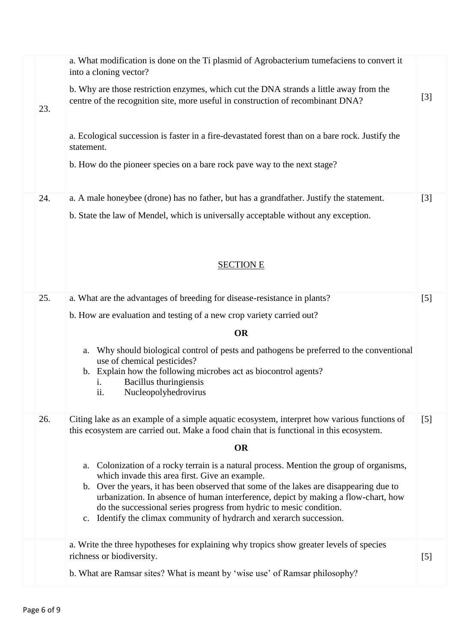|     | a. What modification is done on the Ti plasmid of Agrobacterium tumefaciens to convert it<br>into a cloning vector?                                                                                                                                                                                                                                                                                                                                                          |       |
|-----|------------------------------------------------------------------------------------------------------------------------------------------------------------------------------------------------------------------------------------------------------------------------------------------------------------------------------------------------------------------------------------------------------------------------------------------------------------------------------|-------|
| 23. | b. Why are those restriction enzymes, which cut the DNA strands a little away from the<br>centre of the recognition site, more useful in construction of recombinant DNA?                                                                                                                                                                                                                                                                                                    | $[3]$ |
|     | a. Ecological succession is faster in a fire-devastated forest than on a bare rock. Justify the<br>statement.                                                                                                                                                                                                                                                                                                                                                                |       |
|     | b. How do the pioneer species on a bare rock pave way to the next stage?                                                                                                                                                                                                                                                                                                                                                                                                     |       |
| 24. | a. A male honeybee (drone) has no father, but has a grandfather. Justify the statement.                                                                                                                                                                                                                                                                                                                                                                                      | $[3]$ |
|     | b. State the law of Mendel, which is universally acceptable without any exception.                                                                                                                                                                                                                                                                                                                                                                                           |       |
|     | <b>SECTION E</b>                                                                                                                                                                                                                                                                                                                                                                                                                                                             |       |
| 25. | a. What are the advantages of breeding for disease-resistance in plants?                                                                                                                                                                                                                                                                                                                                                                                                     | [5]   |
|     | b. How are evaluation and testing of a new crop variety carried out?                                                                                                                                                                                                                                                                                                                                                                                                         |       |
|     | <b>OR</b>                                                                                                                                                                                                                                                                                                                                                                                                                                                                    |       |
|     | Why should biological control of pests and pathogens be preferred to the conventional<br>a.<br>use of chemical pesticides?                                                                                                                                                                                                                                                                                                                                                   |       |
|     | b. Explain how the following microbes act as biocontrol agents?<br>Bacillus thuringiensis<br>1.<br>Nucleopolyhedrovirus<br>11.                                                                                                                                                                                                                                                                                                                                               |       |
| 26. | Citing lake as an example of a simple aquatic ecosystem, interpret how various functions of<br>this ecosystem are carried out. Make a food chain that is functional in this ecosystem.                                                                                                                                                                                                                                                                                       | [5]   |
|     | <b>OR</b>                                                                                                                                                                                                                                                                                                                                                                                                                                                                    |       |
|     | Colonization of a rocky terrain is a natural process. Mention the group of organisms,<br>a.<br>which invade this area first. Give an example.<br>b. Over the years, it has been observed that some of the lakes are disappearing due to<br>urbanization. In absence of human interference, depict by making a flow-chart, how<br>do the successional series progress from hydric to mesic condition.<br>c. Identify the climax community of hydrarch and xerarch succession. |       |
|     | a. Write the three hypotheses for explaining why tropics show greater levels of species                                                                                                                                                                                                                                                                                                                                                                                      |       |
|     | richness or biodiversity.                                                                                                                                                                                                                                                                                                                                                                                                                                                    | [5]   |
|     | b. What are Ramsar sites? What is meant by 'wise use' of Ramsar philosophy?                                                                                                                                                                                                                                                                                                                                                                                                  |       |
|     |                                                                                                                                                                                                                                                                                                                                                                                                                                                                              |       |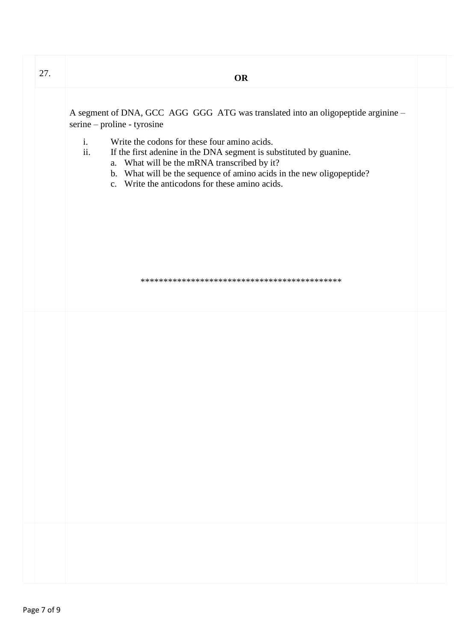| 27. | <b>OR</b>                                                                                                                                                                                                                                                                                                                                                                                                                               |  |
|-----|-----------------------------------------------------------------------------------------------------------------------------------------------------------------------------------------------------------------------------------------------------------------------------------------------------------------------------------------------------------------------------------------------------------------------------------------|--|
|     | A segment of DNA, GCC AGG GGG ATG was translated into an oligopeptide arginine -<br>serine - proline - tyrosine<br>$\mathbf{i}$ .<br>Write the codons for these four amino acids.<br>ii.<br>If the first adenine in the DNA segment is substituted by guanine.<br>a. What will be the mRNA transcribed by it?<br>b. What will be the sequence of amino acids in the new oligopeptide?<br>c. Write the anticodons for these amino acids. |  |
|     |                                                                                                                                                                                                                                                                                                                                                                                                                                         |  |
|     |                                                                                                                                                                                                                                                                                                                                                                                                                                         |  |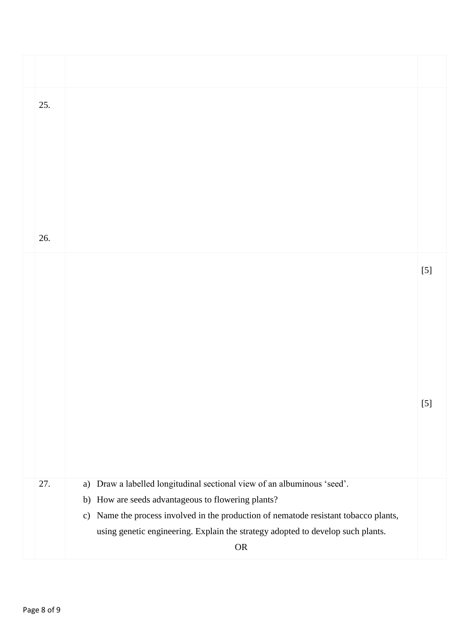| 25. |                                                                                                                                     |       |
|-----|-------------------------------------------------------------------------------------------------------------------------------------|-------|
|     |                                                                                                                                     |       |
| 26. |                                                                                                                                     |       |
|     |                                                                                                                                     | $[5]$ |
|     |                                                                                                                                     |       |
|     |                                                                                                                                     |       |
|     |                                                                                                                                     |       |
|     |                                                                                                                                     |       |
|     |                                                                                                                                     | $[5]$ |
|     |                                                                                                                                     |       |
|     |                                                                                                                                     |       |
|     |                                                                                                                                     |       |
| 27. | Draw a labelled longitudinal sectional view of an albuminous 'seed'.<br>a)<br>How are seeds advantageous to flowering plants?<br>b) |       |
|     | Name the process involved in the production of nematode resistant tobacco plants,<br>c)                                             |       |
|     | using genetic engineering. Explain the strategy adopted to develop such plants.                                                     |       |
|     | ${\sf OR}$                                                                                                                          |       |